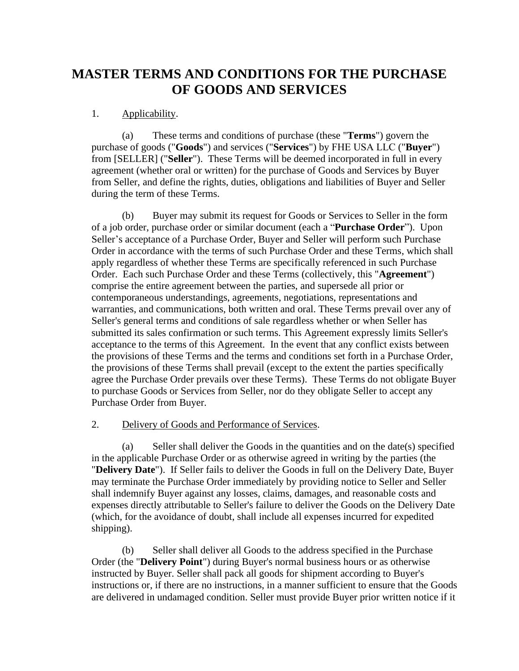# **MASTER TERMS AND CONDITIONS FOR THE PURCHASE OF GOODS AND SERVICES**

## 1. Applicability.

(a) These terms and conditions of purchase (these "**Terms**") govern the purchase of goods ("**Goods**") and services ("**Services**") by FHE USA LLC ("**Buyer**") from [SELLER] ("**Seller**"). These Terms will be deemed incorporated in full in every agreement (whether oral or written) for the purchase of Goods and Services by Buyer from Seller, and define the rights, duties, obligations and liabilities of Buyer and Seller during the term of these Terms.

(b) Buyer may submit its request for Goods or Services to Seller in the form of a job order, purchase order or similar document (each a "**Purchase Order**"). Upon Seller's acceptance of a Purchase Order, Buyer and Seller will perform such Purchase Order in accordance with the terms of such Purchase Order and these Terms, which shall apply regardless of whether these Terms are specifically referenced in such Purchase Order. Each such Purchase Order and these Terms (collectively, this "**Agreement**") comprise the entire agreement between the parties, and supersede all prior or contemporaneous understandings, agreements, negotiations, representations and warranties, and communications, both written and oral. These Terms prevail over any of Seller's general terms and conditions of sale regardless whether or when Seller has submitted its sales confirmation or such terms. This Agreement expressly limits Seller's acceptance to the terms of this Agreement. In the event that any conflict exists between the provisions of these Terms and the terms and conditions set forth in a Purchase Order, the provisions of these Terms shall prevail (except to the extent the parties specifically agree the Purchase Order prevails over these Terms). These Terms do not obligate Buyer to purchase Goods or Services from Seller, nor do they obligate Seller to accept any Purchase Order from Buyer.

### 2. Delivery of Goods and Performance of Services.

(a) Seller shall deliver the Goods in the quantities and on the date(s) specified in the applicable Purchase Order or as otherwise agreed in writing by the parties (the "**Delivery Date**"). If Seller fails to deliver the Goods in full on the Delivery Date, Buyer may terminate the Purchase Order immediately by providing notice to Seller and Seller shall indemnify Buyer against any losses, claims, damages, and reasonable costs and expenses directly attributable to Seller's failure to deliver the Goods on the Delivery Date (which, for the avoidance of doubt, shall include all expenses incurred for expedited shipping).

(b) Seller shall deliver all Goods to the address specified in the Purchase Order (the "**Delivery Point**") during Buyer's normal business hours or as otherwise instructed by Buyer. Seller shall pack all goods for shipment according to Buyer's instructions or, if there are no instructions, in a manner sufficient to ensure that the Goods are delivered in undamaged condition. Seller must provide Buyer prior written notice if it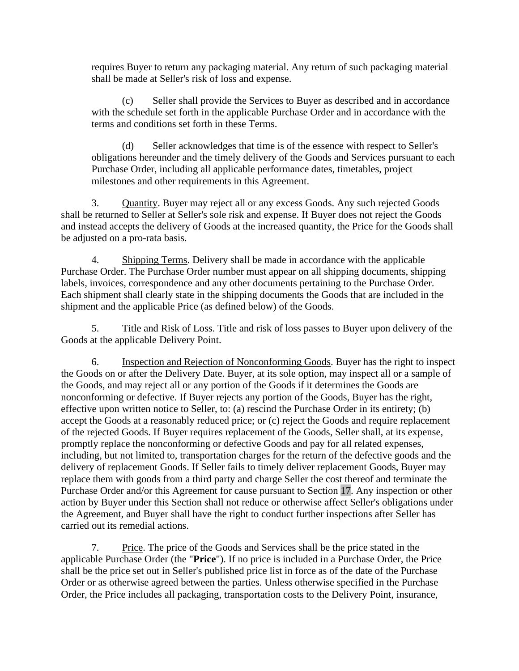requires Buyer to return any packaging material. Any return of such packaging material shall be made at Seller's risk of loss and expense.

(c) Seller shall provide the Services to Buyer as described and in accordance with the schedule set forth in the applicable Purchase Order and in accordance with the terms and conditions set forth in these Terms.

(d) Seller acknowledges that time is of the essence with respect to Seller's obligations hereunder and the timely delivery of the Goods and Services pursuant to each Purchase Order, including all applicable performance dates, timetables, project milestones and other requirements in this Agreement.

3. Quantity. Buyer may reject all or any excess Goods. Any such rejected Goods shall be returned to Seller at Seller's sole risk and expense. If Buyer does not reject the Goods and instead accepts the delivery of Goods at the increased quantity, the Price for the Goods shall be adjusted on a pro-rata basis.

4. Shipping Terms. Delivery shall be made in accordance with the applicable Purchase Order. The Purchase Order number must appear on all shipping documents, shipping labels, invoices, correspondence and any other documents pertaining to the Purchase Order. Each shipment shall clearly state in the shipping documents the Goods that are included in the shipment and the applicable Price (as defined below) of the Goods.

5. Title and Risk of Loss. Title and risk of loss passes to Buyer upon delivery of the Goods at the applicable Delivery Point.

6. Inspection and Rejection of Nonconforming Goods. Buyer has the right to inspect the Goods on or after the Delivery Date. Buyer, at its sole option, may inspect all or a sample of the Goods, and may reject all or any portion of the Goods if it determines the Goods are nonconforming or defective. If Buyer rejects any portion of the Goods, Buyer has the right, effective upon written notice to Seller, to: (a) rescind the Purchase Order in its entirety; (b) accept the Goods at a reasonably reduced price; or (c) reject the Goods and require replacement of the rejected Goods. If Buyer requires replacement of the Goods, Seller shall, at its expense, promptly replace the nonconforming or defective Goods and pay for all related expenses, including, but not limited to, transportation charges for the return of the defective goods and the delivery of replacement Goods. If Seller fails to timely deliver replacement Goods, Buyer may replace them with goods from a third party and charge Seller the cost thereof and terminate the Purchase Order and/or this Agreement for cause pursuant to Section [17.](#page-5-0) Any inspection or other action by Buyer under this Section shall not reduce or otherwise affect Seller's obligations under the Agreement, and Buyer shall have the right to conduct further inspections after Seller has carried out its remedial actions.

7. Price. The price of the Goods and Services shall be the price stated in the applicable Purchase Order (the "**Price**"). If no price is included in a Purchase Order, the Price shall be the price set out in Seller's published price list in force as of the date of the Purchase Order or as otherwise agreed between the parties. Unless otherwise specified in the Purchase Order, the Price includes all packaging, transportation costs to the Delivery Point, insurance,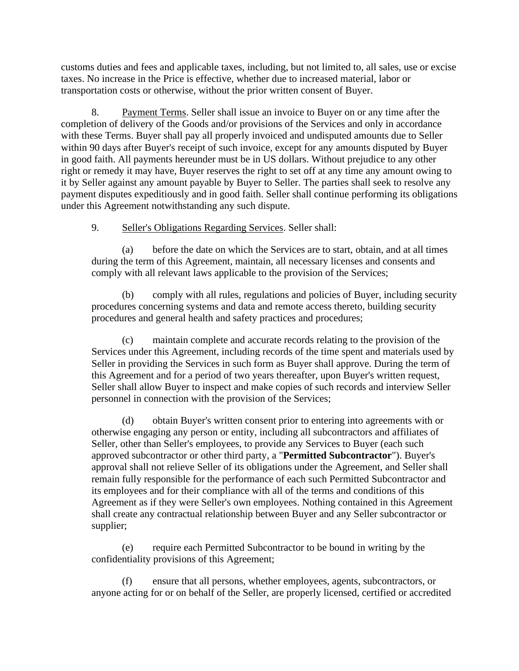customs duties and fees and applicable taxes, including, but not limited to, all sales, use or excise taxes. No increase in the Price is effective, whether due to increased material, labor or transportation costs or otherwise, without the prior written consent of Buyer.

8. Payment Terms. Seller shall issue an invoice to Buyer on or any time after the completion of delivery of the Goods and/or provisions of the Services and only in accordance with these Terms. Buyer shall pay all properly invoiced and undisputed amounts due to Seller within 90 days after Buyer's receipt of such invoice, except for any amounts disputed by Buyer in good faith. All payments hereunder must be in US dollars. Without prejudice to any other right or remedy it may have, Buyer reserves the right to set off at any time any amount owing to it by Seller against any amount payable by Buyer to Seller. The parties shall seek to resolve any payment disputes expeditiously and in good faith. Seller shall continue performing its obligations under this Agreement notwithstanding any such dispute.

9. Seller's Obligations Regarding Services. Seller shall:

(a) before the date on which the Services are to start, obtain, and at all times during the term of this Agreement, maintain, all necessary licenses and consents and comply with all relevant laws applicable to the provision of the Services;

(b) comply with all rules, regulations and policies of Buyer, including security procedures concerning systems and data and remote access thereto, building security procedures and general health and safety practices and procedures;

(c) maintain complete and accurate records relating to the provision of the Services under this Agreement, including records of the time spent and materials used by Seller in providing the Services in such form as Buyer shall approve. During the term of this Agreement and for a period of two years thereafter, upon Buyer's written request, Seller shall allow Buyer to inspect and make copies of such records and interview Seller personnel in connection with the provision of the Services;

(d) obtain Buyer's written consent prior to entering into agreements with or otherwise engaging any person or entity, including all subcontractors and affiliates of Seller, other than Seller's employees, to provide any Services to Buyer (each such approved subcontractor or other third party, a "**Permitted Subcontractor**"). Buyer's approval shall not relieve Seller of its obligations under the Agreement, and Seller shall remain fully responsible for the performance of each such Permitted Subcontractor and its employees and for their compliance with all of the terms and conditions of this Agreement as if they were Seller's own employees. Nothing contained in this Agreement shall create any contractual relationship between Buyer and any Seller subcontractor or supplier;

(e) require each Permitted Subcontractor to be bound in writing by the confidentiality provisions of this Agreement;

(f) ensure that all persons, whether employees, agents, subcontractors, or anyone acting for or on behalf of the Seller, are properly licensed, certified or accredited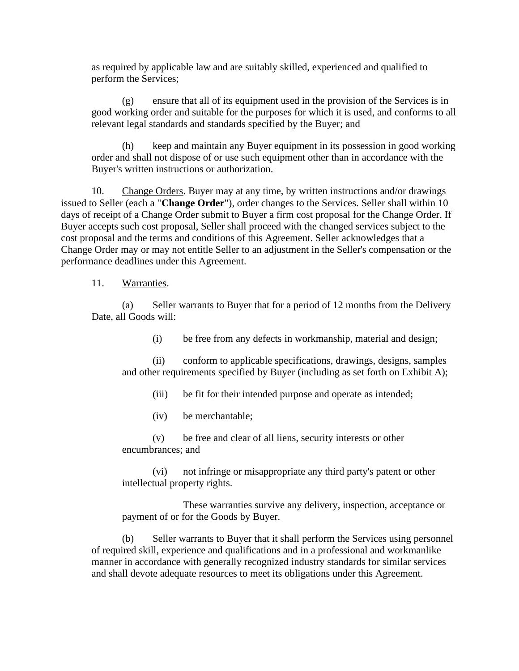as required by applicable law and are suitably skilled, experienced and qualified to perform the Services;

(g) ensure that all of its equipment used in the provision of the Services is in good working order and suitable for the purposes for which it is used, and conforms to all relevant legal standards and standards specified by the Buyer; and

(h) keep and maintain any Buyer equipment in its possession in good working order and shall not dispose of or use such equipment other than in accordance with the Buyer's written instructions or authorization.

10. Change Orders. Buyer may at any time, by written instructions and/or drawings issued to Seller (each a "**Change Order**"), order changes to the Services. Seller shall within 10 days of receipt of a Change Order submit to Buyer a firm cost proposal for the Change Order. If Buyer accepts such cost proposal, Seller shall proceed with the changed services subject to the cost proposal and the terms and conditions of this Agreement. Seller acknowledges that a Change Order may or may not entitle Seller to an adjustment in the Seller's compensation or the performance deadlines under this Agreement.

### 11. Warranties.

(a) Seller warrants to Buyer that for a period of 12 months from the Delivery Date, all Goods will:

(i) be free from any defects in workmanship, material and design;

(ii) conform to applicable specifications, drawings, designs, samples and other requirements specified by Buyer (including as set forth on Exhibit A);

(iii) be fit for their intended purpose and operate as intended;

(iv) be merchantable;

(v) be free and clear of all liens, security interests or other encumbrances; and

(vi) not infringe or misappropriate any third party's patent or other intellectual property rights.

These warranties survive any delivery, inspection, acceptance or payment of or for the Goods by Buyer.

(b) Seller warrants to Buyer that it shall perform the Services using personnel of required skill, experience and qualifications and in a professional and workmanlike manner in accordance with generally recognized industry standards for similar services and shall devote adequate resources to meet its obligations under this Agreement.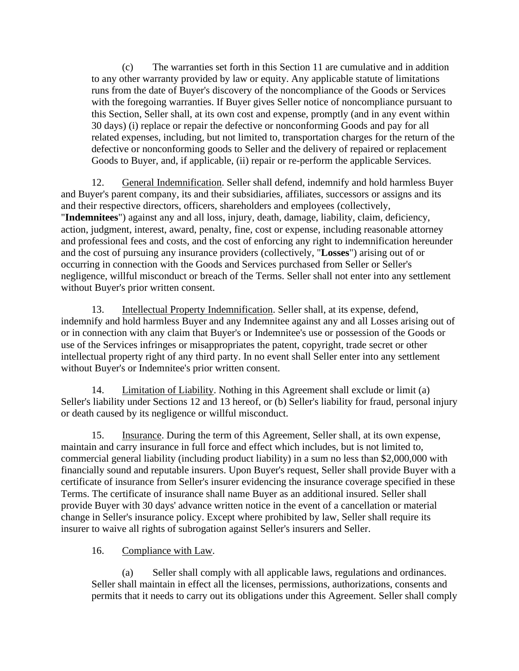(c) The warranties set forth in this Section 11 are cumulative and in addition to any other warranty provided by law or equity. Any applicable statute of limitations runs from the date of Buyer's discovery of the noncompliance of the Goods or Services with the foregoing warranties. If Buyer gives Seller notice of noncompliance pursuant to this Section, Seller shall, at its own cost and expense, promptly (and in any event within 30 days) (i) replace or repair the defective or nonconforming Goods and pay for all related expenses, including, but not limited to, transportation charges for the return of the defective or nonconforming goods to Seller and the delivery of repaired or replacement Goods to Buyer, and, if applicable, (ii) repair or re-perform the applicable Services.

12. General Indemnification. Seller shall defend, indemnify and hold harmless Buyer and Buyer's parent company, its and their subsidiaries, affiliates, successors or assigns and its and their respective directors, officers, shareholders and employees (collectively, "**Indemnitees**") against any and all loss, injury, death, damage, liability, claim, deficiency, action, judgment, interest, award, penalty, fine, cost or expense, including reasonable attorney and professional fees and costs, and the cost of enforcing any right to indemnification hereunder and the cost of pursuing any insurance providers (collectively, "**Losses**") arising out of or occurring in connection with the Goods and Services purchased from Seller or Seller's negligence, willful misconduct or breach of the Terms. Seller shall not enter into any settlement without Buyer's prior written consent.

13. Intellectual Property Indemnification. Seller shall, at its expense, defend, indemnify and hold harmless Buyer and any Indemnitee against any and all Losses arising out of or in connection with any claim that Buyer's or Indemnitee's use or possession of the Goods or use of the Services infringes or misappropriates the patent, copyright, trade secret or other intellectual property right of any third party. In no event shall Seller enter into any settlement without Buyer's or Indemnitee's prior written consent.

14. Limitation of Liability. Nothing in this Agreement shall exclude or limit (a) Seller's liability under Sections 12 and 13 hereof, or (b) Seller's liability for fraud, personal injury or death caused by its negligence or willful misconduct.

15. Insurance. During the term of this Agreement, Seller shall, at its own expense, maintain and carry insurance in full force and effect which includes, but is not limited to, commercial general liability (including product liability) in a sum no less than \$2,000,000 with financially sound and reputable insurers. Upon Buyer's request, Seller shall provide Buyer with a certificate of insurance from Seller's insurer evidencing the insurance coverage specified in these Terms. The certificate of insurance shall name Buyer as an additional insured. Seller shall provide Buyer with 30 days' advance written notice in the event of a cancellation or material change in Seller's insurance policy. Except where prohibited by law, Seller shall require its insurer to waive all rights of subrogation against Seller's insurers and Seller.

# 16. Compliance with Law.

(a) Seller shall comply with all applicable laws, regulations and ordinances. Seller shall maintain in effect all the licenses, permissions, authorizations, consents and permits that it needs to carry out its obligations under this Agreement. Seller shall comply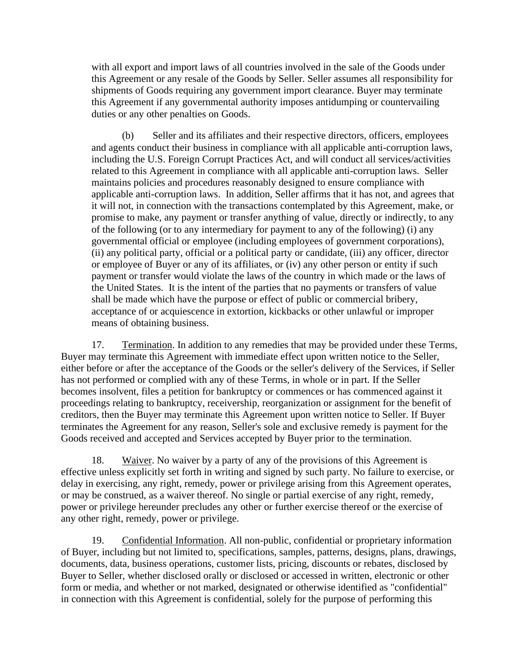with all export and import laws of all countries involved in the sale of the Goods under this Agreement or any resale of the Goods by Seller. Seller assumes all responsibility for shipments of Goods requiring any government import clearance. Buyer may terminate this Agreement if any governmental authority imposes antidumping or countervailing duties or any other penalties on Goods.

(b) Seller and its affiliates and their respective directors, officers, employees and agents conduct their business in compliance with all applicable anti-corruption laws, including the U.S. Foreign Corrupt Practices Act, and will conduct all services/activities related to this Agreement in compliance with all applicable anti-corruption laws. Seller maintains policies and procedures reasonably designed to ensure compliance with applicable anti-corruption laws. In addition, Seller affirms that it has not, and agrees that it will not, in connection with the transactions contemplated by this Agreement, make, or promise to make, any payment or transfer anything of value, directly or indirectly, to any of the following (or to any intermediary for payment to any of the following) (i) any governmental official or employee (including employees of government corporations), (ii) any political party, official or a political party or candidate, (iii) any officer, director or employee of Buyer or any of its affiliates, or (iv) any other person or entity if such payment or transfer would violate the laws of the country in which made or the laws of the United States. It is the intent of the parties that no payments or transfers of value shall be made which have the purpose or effect of public or commercial bribery, acceptance of or acquiescence in extortion, kickbacks or other unlawful or improper means of obtaining business.

<span id="page-5-0"></span>17. Termination. In addition to any remedies that may be provided under these Terms, Buyer may terminate this Agreement with immediate effect upon written notice to the Seller, either before or after the acceptance of the Goods or the seller's delivery of the Services, if Seller has not performed or complied with any of these Terms, in whole or in part. If the Seller becomes insolvent, files a petition for bankruptcy or commences or has commenced against it proceedings relating to bankruptcy, receivership, reorganization or assignment for the benefit of creditors, then the Buyer may terminate this Agreement upon written notice to Seller. If Buyer terminates the Agreement for any reason, Seller's sole and exclusive remedy is payment for the Goods received and accepted and Services accepted by Buyer prior to the termination.

18. Waiver. No waiver by a party of any of the provisions of this Agreement is effective unless explicitly set forth in writing and signed by such party. No failure to exercise, or delay in exercising, any right, remedy, power or privilege arising from this Agreement operates, or may be construed, as a waiver thereof. No single or partial exercise of any right, remedy, power or privilege hereunder precludes any other or further exercise thereof or the exercise of any other right, remedy, power or privilege.

19. Confidential Information. All non-public, confidential or proprietary information of Buyer, including but not limited to, specifications, samples, patterns, designs, plans, drawings, documents, data, business operations, customer lists, pricing, discounts or rebates, disclosed by Buyer to Seller, whether disclosed orally or disclosed or accessed in written, electronic or other form or media, and whether or not marked, designated or otherwise identified as "confidential" in connection with this Agreement is confidential, solely for the purpose of performing this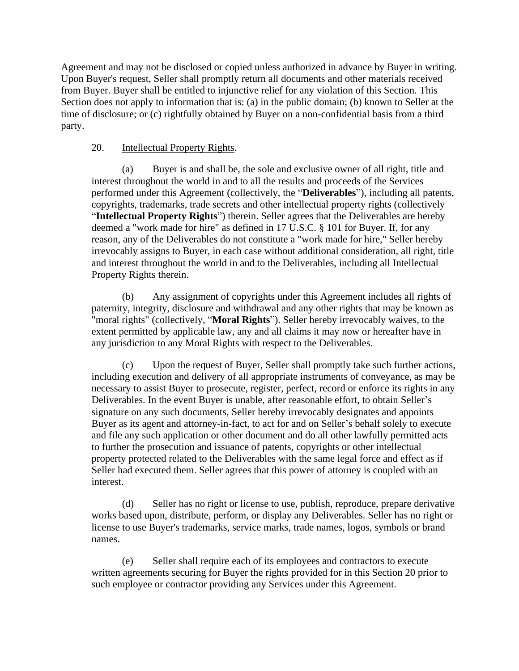Agreement and may not be disclosed or copied unless authorized in advance by Buyer in writing. Upon Buyer's request, Seller shall promptly return all documents and other materials received from Buyer. Buyer shall be entitled to injunctive relief for any violation of this Section. This Section does not apply to information that is: (a) in the public domain; (b) known to Seller at the time of disclosure; or (c) rightfully obtained by Buyer on a non-confidential basis from a third party.

## 20. Intellectual Property Rights.

(a) Buyer is and shall be, the sole and exclusive owner of all right, title and interest throughout the world in and to all the results and proceeds of the Services performed under this Agreement (collectively, the "**Deliverables**"), including all patents, copyrights, trademarks, trade secrets and other intellectual property rights (collectively "**Intellectual Property Rights**") therein. Seller agrees that the Deliverables are hereby deemed a "work made for hire" as defined in 17 U.S.C. § 101 for Buyer. If, for any reason, any of the Deliverables do not constitute a "work made for hire," Seller hereby irrevocably assigns to Buyer, in each case without additional consideration, all right, title and interest throughout the world in and to the Deliverables, including all Intellectual Property Rights therein.

(b) Any assignment of copyrights under this Agreement includes all rights of paternity, integrity, disclosure and withdrawal and any other rights that may be known as "moral rights" (collectively, "**Moral Rights**"). Seller hereby irrevocably waives, to the extent permitted by applicable law, any and all claims it may now or hereafter have in any jurisdiction to any Moral Rights with respect to the Deliverables.

(c) Upon the request of Buyer, Seller shall promptly take such further actions, including execution and delivery of all appropriate instruments of conveyance, as may be necessary to assist Buyer to prosecute, register, perfect, record or enforce its rights in any Deliverables. In the event Buyer is unable, after reasonable effort, to obtain Seller's signature on any such documents, Seller hereby irrevocably designates and appoints Buyer as its agent and attorney-in-fact, to act for and on Seller's behalf solely to execute and file any such application or other document and do all other lawfully permitted acts to further the prosecution and issuance of patents, copyrights or other intellectual property protected related to the Deliverables with the same legal force and effect as if Seller had executed them. Seller agrees that this power of attorney is coupled with an interest.

(d) Seller has no right or license to use, publish, reproduce, prepare derivative works based upon, distribute, perform, or display any Deliverables. Seller has no right or license to use Buyer's trademarks, service marks, trade names, logos, symbols or brand names.

(e) Seller shall require each of its employees and contractors to execute written agreements securing for Buyer the rights provided for in this Section 20 prior to such employee or contractor providing any Services under this Agreement.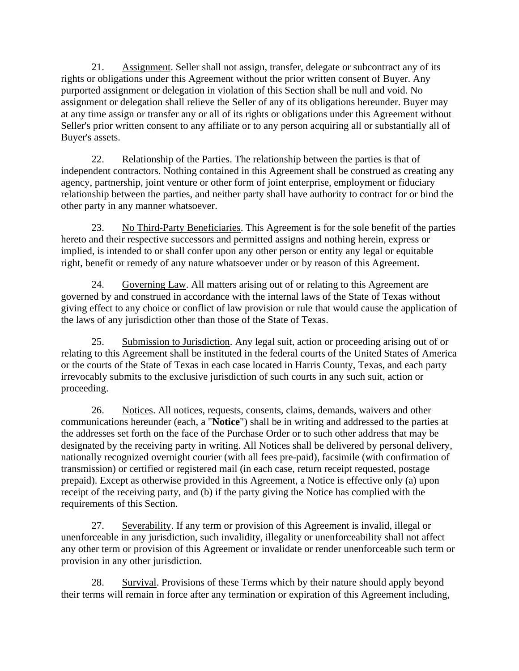21. Assignment. Seller shall not assign, transfer, delegate or subcontract any of its rights or obligations under this Agreement without the prior written consent of Buyer. Any purported assignment or delegation in violation of this Section shall be null and void. No assignment or delegation shall relieve the Seller of any of its obligations hereunder. Buyer may at any time assign or transfer any or all of its rights or obligations under this Agreement without Seller's prior written consent to any affiliate or to any person acquiring all or substantially all of Buyer's assets.

22. Relationship of the Parties. The relationship between the parties is that of independent contractors. Nothing contained in this Agreement shall be construed as creating any agency, partnership, joint venture or other form of joint enterprise, employment or fiduciary relationship between the parties, and neither party shall have authority to contract for or bind the other party in any manner whatsoever.

23. No Third-Party Beneficiaries. This Agreement is for the sole benefit of the parties hereto and their respective successors and permitted assigns and nothing herein, express or implied, is intended to or shall confer upon any other person or entity any legal or equitable right, benefit or remedy of any nature whatsoever under or by reason of this Agreement.

24. Governing Law. All matters arising out of or relating to this Agreement are governed by and construed in accordance with the internal laws of the State of Texas without giving effect to any choice or conflict of law provision or rule that would cause the application of the laws of any jurisdiction other than those of the State of Texas.

25. Submission to Jurisdiction. Any legal suit, action or proceeding arising out of or relating to this Agreement shall be instituted in the federal courts of the United States of America or the courts of the State of Texas in each case located in Harris County, Texas, and each party irrevocably submits to the exclusive jurisdiction of such courts in any such suit, action or proceeding.

26. Notices. All notices, requests, consents, claims, demands, waivers and other communications hereunder (each, a "**Notice**") shall be in writing and addressed to the parties at the addresses set forth on the face of the Purchase Order or to such other address that may be designated by the receiving party in writing. All Notices shall be delivered by personal delivery, nationally recognized overnight courier (with all fees pre-paid), facsimile (with confirmation of transmission) or certified or registered mail (in each case, return receipt requested, postage prepaid). Except as otherwise provided in this Agreement, a Notice is effective only (a) upon receipt of the receiving party, and (b) if the party giving the Notice has complied with the requirements of this Section.

27. Severability. If any term or provision of this Agreement is invalid, illegal or unenforceable in any jurisdiction, such invalidity, illegality or unenforceability shall not affect any other term or provision of this Agreement or invalidate or render unenforceable such term or provision in any other jurisdiction.

28. Survival. Provisions of these Terms which by their nature should apply beyond their terms will remain in force after any termination or expiration of this Agreement including,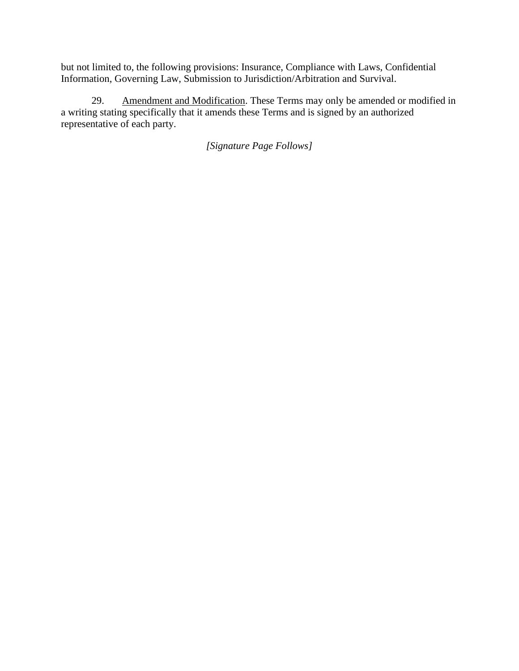but not limited to, the following provisions: Insurance, Compliance with Laws, Confidential Information, Governing Law, Submission to Jurisdiction/Arbitration and Survival.

29. Amendment and Modification. These Terms may only be amended or modified in a writing stating specifically that it amends these Terms and is signed by an authorized representative of each party.

*[Signature Page Follows]*